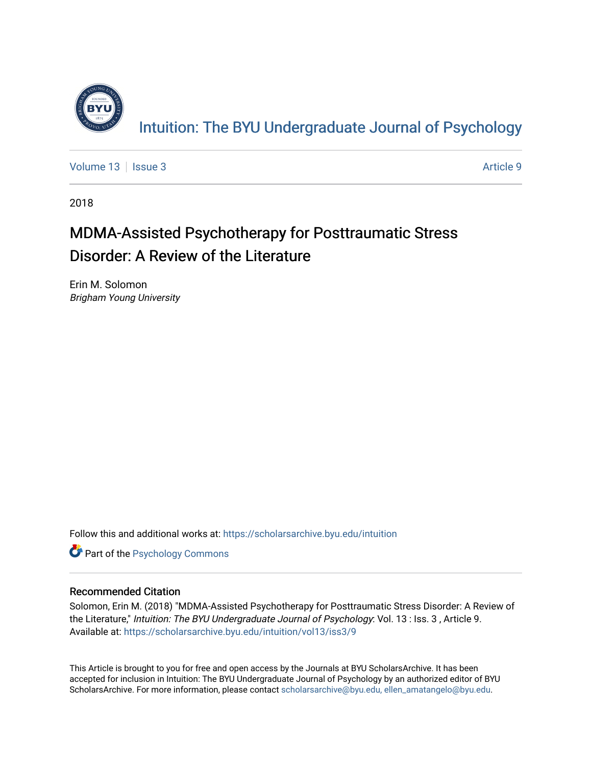

[Volume 13](https://scholarsarchive.byu.edu/intuition/vol13) | [Issue 3](https://scholarsarchive.byu.edu/intuition/vol13/iss3) Article 9

2018

# MDMA-Assisted Psychotherapy for Posttraumatic Stress Disorder: A Review of the Literature

Erin M. Solomon Brigham Young University

Follow this and additional works at: [https://scholarsarchive.byu.edu/intuition](https://scholarsarchive.byu.edu/intuition?utm_source=scholarsarchive.byu.edu%2Fintuition%2Fvol13%2Fiss3%2F9&utm_medium=PDF&utm_campaign=PDFCoverPages) 

**Part of the Psychology Commons** 

#### Recommended Citation

Solomon, Erin M. (2018) "MDMA-Assisted Psychotherapy for Posttraumatic Stress Disorder: A Review of the Literature," Intuition: The BYU Undergraduate Journal of Psychology: Vol. 13 : Iss. 3, Article 9. Available at: [https://scholarsarchive.byu.edu/intuition/vol13/iss3/9](https://scholarsarchive.byu.edu/intuition/vol13/iss3/9?utm_source=scholarsarchive.byu.edu%2Fintuition%2Fvol13%2Fiss3%2F9&utm_medium=PDF&utm_campaign=PDFCoverPages) 

This Article is brought to you for free and open access by the Journals at BYU ScholarsArchive. It has been accepted for inclusion in Intuition: The BYU Undergraduate Journal of Psychology by an authorized editor of BYU ScholarsArchive. For more information, please contact [scholarsarchive@byu.edu, ellen\\_amatangelo@byu.edu.](mailto:scholarsarchive@byu.edu,%20ellen_amatangelo@byu.edu)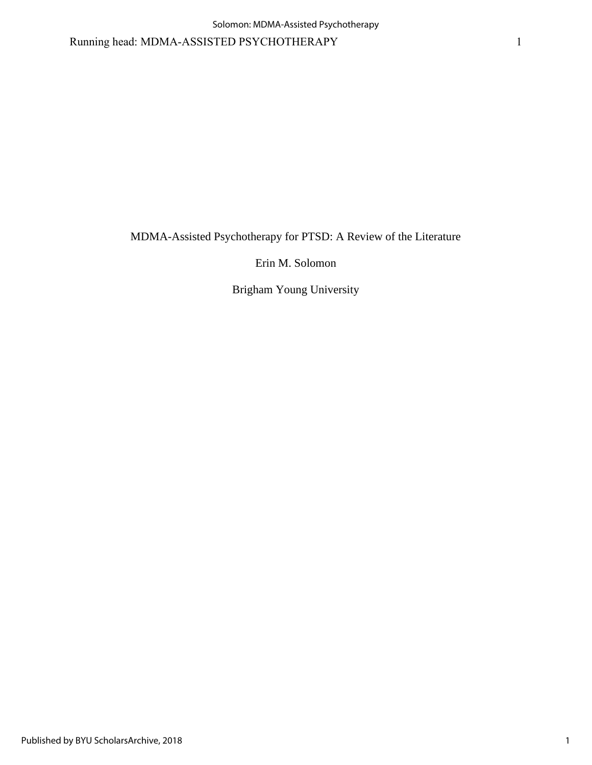Running head: MDMA-ASSISTED PSYCHOTHERAPY 1

MDMA-Assisted Psychotherapy for PTSD: A Review of the Literature

Erin M. Solomon

Brigham Young University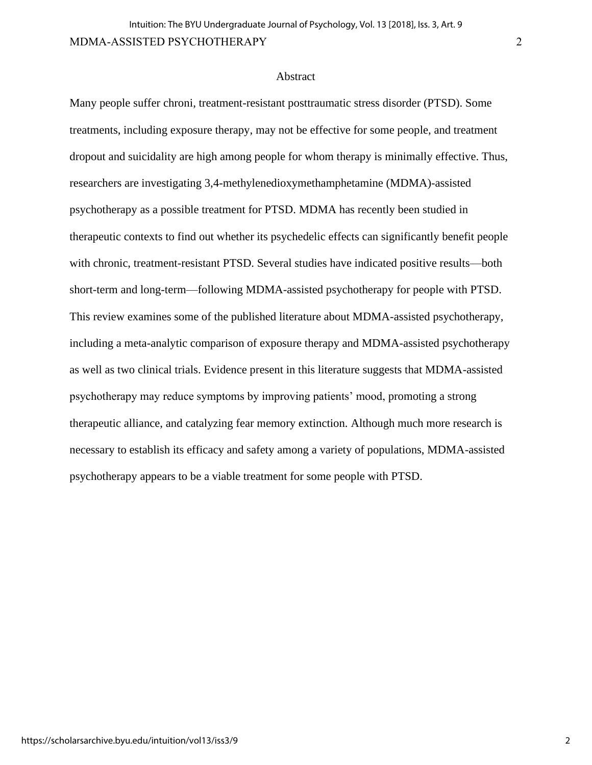#### **Abstract**

Many people suffer chroni, treatment-resistant posttraumatic stress disorder (PTSD). Some treatments, including exposure therapy, may not be effective for some people, and treatment dropout and suicidality are high among people for whom therapy is minimally effective. Thus, researchers are investigating 3,4-methylenedioxymethamphetamine (MDMA)-assisted psychotherapy as a possible treatment for PTSD. MDMA has recently been studied in therapeutic contexts to find out whether its psychedelic effects can significantly benefit people with chronic, treatment-resistant PTSD. Several studies have indicated positive results—both short-term and long-term—following MDMA-assisted psychotherapy for people with PTSD. This review examines some of the published literature about MDMA-assisted psychotherapy, including a meta-analytic comparison of exposure therapy and MDMA-assisted psychotherapy as well as two clinical trials. Evidence present in this literature suggests that MDMA-assisted psychotherapy may reduce symptoms by improving patients' mood, promoting a strong therapeutic alliance, and catalyzing fear memory extinction. Although much more research is necessary to establish its efficacy and safety among a variety of populations, MDMA-assisted psychotherapy appears to be a viable treatment for some people with PTSD.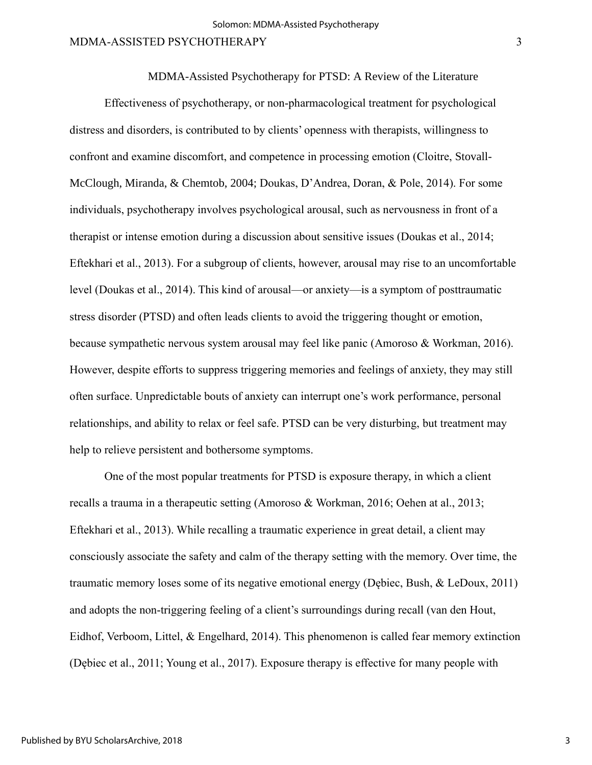MDMA-Assisted Psychotherapy for PTSD: A Review of the Literature

Effectiveness of psychotherapy, or non-pharmacological treatment for psychological distress and disorders, is contributed to by clients' openness with therapists, willingness to confront and examine discomfort, and competence in processing emotion (Cloitre, Stovall-McClough, Miranda, & Chemtob, 2004; Doukas, D'Andrea, Doran, & Pole, 2014). For some individuals, psychotherapy involves psychological arousal, such as nervousness in front of a therapist or intense emotion during a discussion about sensitive issues (Doukas et al., 2014; Eftekhari et al., 2013). For a subgroup of clients, however, arousal may rise to an uncomfortable level (Doukas et al., 2014). This kind of arousal—or anxiety—is a symptom of posttraumatic stress disorder (PTSD) and often leads clients to avoid the triggering thought or emotion, because sympathetic nervous system arousal may feel like panic (Amoroso & Workman, 2016). However, despite efforts to suppress triggering memories and feelings of anxiety, they may still often surface. Unpredictable bouts of anxiety can interrupt one's work performance, personal relationships, and ability to relax or feel safe. PTSD can be very disturbing, but treatment may help to relieve persistent and bothersome symptoms.

One of the most popular treatments for PTSD is exposure therapy, in which a client recalls a trauma in a therapeutic setting (Amoroso & Workman, 2016; Oehen at al., 2013; Eftekhari et al., 2013). While recalling a traumatic experience in great detail, a client may consciously associate the safety and calm of the therapy setting with the memory. Over time, the traumatic memory loses some of its negative emotional energy (Dębiec, Bush, & LeDoux, 2011) and adopts the non-triggering feeling of a client's surroundings during recall (van den Hout, Eidhof, Verboom, Littel, & Engelhard, 2014). This phenomenon is called fear memory extinction (Dębiec et al., 2011; Young et al., 2017). Exposure therapy is effective for many people with

3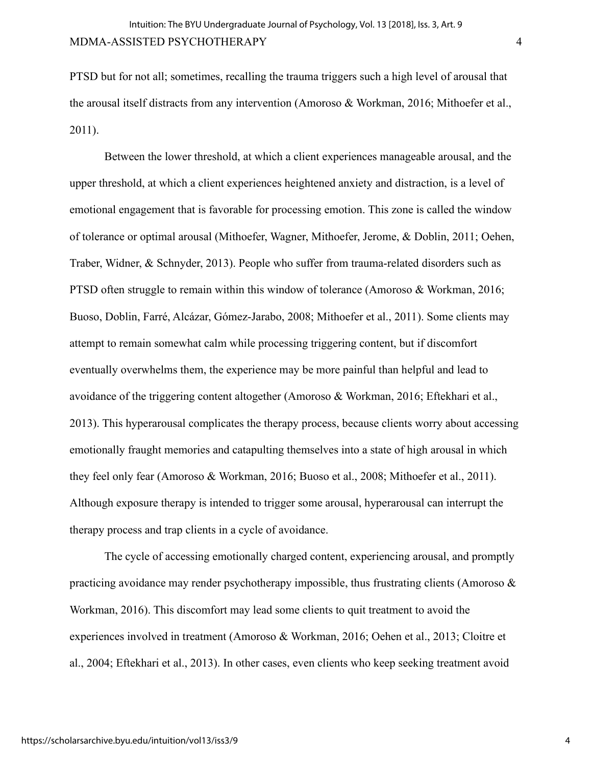PTSD but for not all; sometimes, recalling the trauma triggers such a high level of arousal that the arousal itself distracts from any intervention (Amoroso & Workman, 2016; Mithoefer et al., 2011).

Between the lower threshold, at which a client experiences manageable arousal, and the upper threshold, at which a client experiences heightened anxiety and distraction, is a level of emotional engagement that is favorable for processing emotion. This zone is called the window of tolerance or optimal arousal (Mithoefer, Wagner, Mithoefer, Jerome, & Doblin, 2011; Oehen, Traber, Widner, & Schnyder, 2013). People who suffer from trauma-related disorders such as PTSD often struggle to remain within this window of tolerance (Amoroso & Workman, 2016; Buoso, Doblin, Farré, Alcázar, Gómez-Jarabo, 2008; Mithoefer et al., 2011). Some clients may attempt to remain somewhat calm while processing triggering content, but if discomfort eventually overwhelms them, the experience may be more painful than helpful and lead to avoidance of the triggering content altogether (Amoroso & Workman, 2016; Eftekhari et al., 2013). This hyperarousal complicates the therapy process, because clients worry about accessing emotionally fraught memories and catapulting themselves into a state of high arousal in which they feel only fear (Amoroso & Workman, 2016; Buoso et al., 2008; Mithoefer et al., 2011). Although exposure therapy is intended to trigger some arousal, hyperarousal can interrupt the therapy process and trap clients in a cycle of avoidance.

The cycle of accessing emotionally charged content, experiencing arousal, and promptly practicing avoidance may render psychotherapy impossible, thus frustrating clients (Amoroso & Workman, 2016). This discomfort may lead some clients to quit treatment to avoid the experiences involved in treatment (Amoroso & Workman, 2016; Oehen et al., 2013; Cloitre et al., 2004; Eftekhari et al., 2013). In other cases, even clients who keep seeking treatment avoid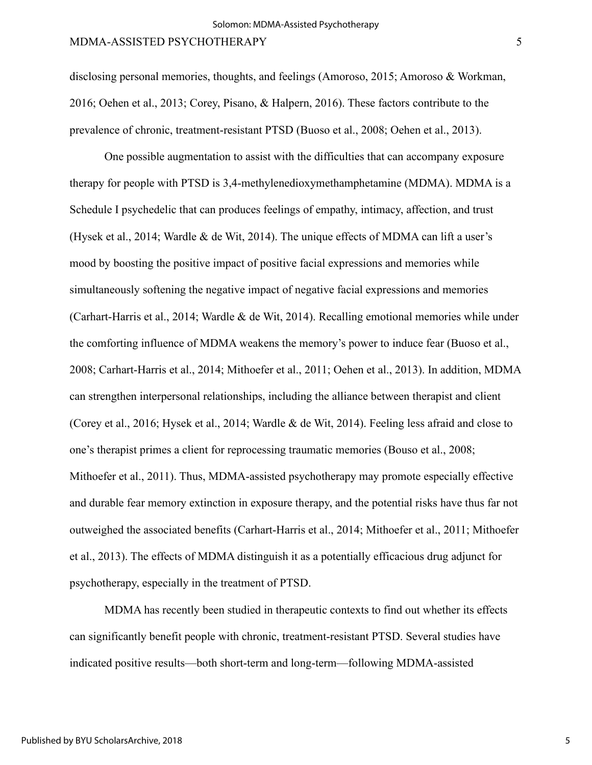disclosing personal memories, thoughts, and feelings (Amoroso, 2015; Amoroso & Workman, 2016; Oehen et al., 2013; Corey, Pisano, & Halpern, 2016). These factors contribute to the prevalence of chronic, treatment-resistant PTSD (Buoso et al., 2008; Oehen et al., 2013).

One possible augmentation to assist with the difficulties that can accompany exposure therapy for people with PTSD is 3,4-methylenedioxymethamphetamine (MDMA). MDMA is a Schedule I psychedelic that can produces feelings of empathy, intimacy, affection, and trust (Hysek et al., 2014; Wardle & de Wit, 2014). The unique effects of MDMA can lift a user's mood by boosting the positive impact of positive facial expressions and memories while simultaneously softening the negative impact of negative facial expressions and memories (Carhart-Harris et al., 2014; Wardle & de Wit, 2014). Recalling emotional memories while under the comforting influence of MDMA weakens the memory's power to induce fear (Buoso et al., 2008; Carhart-Harris et al., 2014; Mithoefer et al., 2011; Oehen et al., 2013). In addition, MDMA can strengthen interpersonal relationships, including the alliance between therapist and client (Corey et al., 2016; Hysek et al., 2014; Wardle & de Wit, 2014). Feeling less afraid and close to one's therapist primes a client for reprocessing traumatic memories (Bouso et al., 2008; Mithoefer et al., 2011). Thus, MDMA-assisted psychotherapy may promote especially effective and durable fear memory extinction in exposure therapy, and the potential risks have thus far not outweighed the associated benefits (Carhart-Harris et al., 2014; Mithoefer et al., 2011; Mithoefer et al., 2013). The effects of MDMA distinguish it as a potentially efficacious drug adjunct for psychotherapy, especially in the treatment of PTSD.

MDMA has recently been studied in therapeutic contexts to find out whether its effects can significantly benefit people with chronic, treatment-resistant PTSD. Several studies have indicated positive results—both short-term and long-term—following MDMA-assisted

5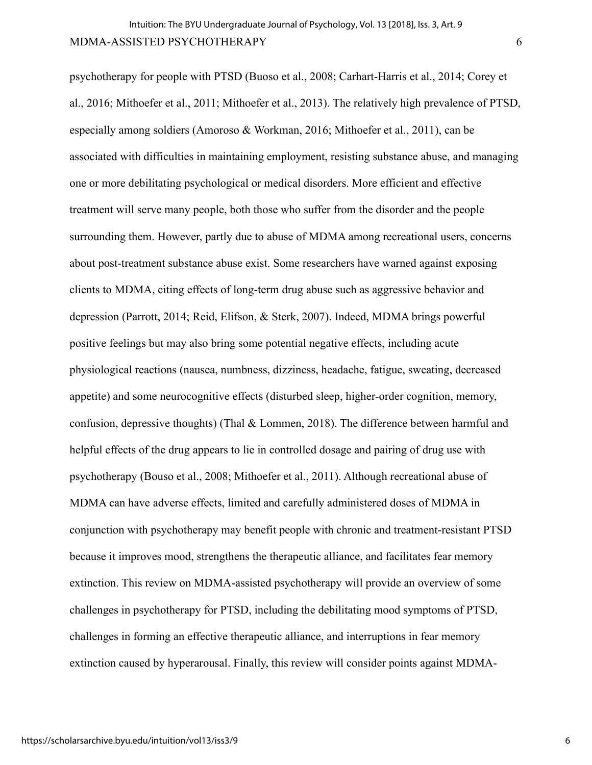psychotherapy for people with PTSD (Buoso et al., 2008; Carhart-Harris et al., 2014; Corey et al., 2016; Mithoefer et al., 2011; Mithoefer et al., 2013). The relatively high prevalence of PTSD, especially among soldiers (Amoroso & Workman, 2016; Mithoefer et al., 2011), can be associated with difficulties in maintaining employment, resisting substance abuse, and managing one or more debilitating psychological or medical disorders. More efficient and effective treatment will serve many people, both those who suffer from the disorder and the people surrounding them. However, partly due to abuse of MDMA among recreational users, concerns about post-treatment substance abuse exist. Some researchers have warned against exposing clients to MDMA, citing effects of long-term drug abuse such as aggressive behavior and depression (Parrott, 2014; Reid, Elifson, & Sterk, 2007). Indeed, MDMA brings powerful positive feelings but may also bring some potential negative effects, including acute physiological reactions (nausea, numbness, dizziness, headache, fatigue, sweating, decreased appetite) and some neurocognitive effects (disturbed sleep, higher-order cognition, memory, confusion, depressive thoughts) (Thal & Lommen, 2018). The difference between harmful and helpful effects of the drug appears to lie in controlled dosage and pairing of drug use with psychotherapy (Bouso et al., 2008; Mithoefer et al., 2011). Although recreational abuse of MDMA can have adverse effects, limited and carefully administered doses of MDMA in conjunction with psychotherapy may benefit people with chronic and treatment-resistant PTSD because it improves mood, strengthens the therapeutic alliance, and facilitates fear memory extinction. This review on MDMA-assisted psychotherapy will provide an overview of some challenges in psychotherapy for PTSD, including the debilitating mood symptoms of PTSD, challenges in forming an effective therapeutic alliance, and interruptions in fear memory extinction caused by hyperarousal. Finally, this review will consider points against MDMA-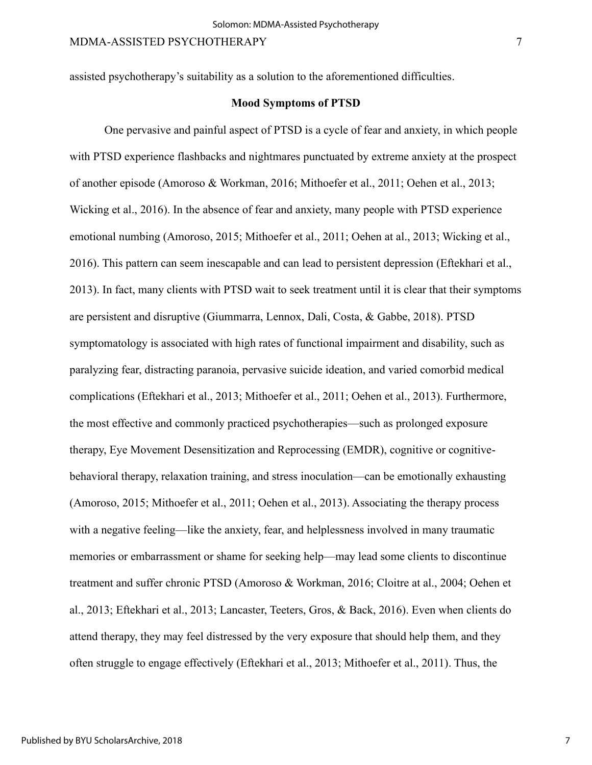assisted psychotherapy's suitability as a solution to the aforementioned difficulties.

#### **Mood Symptoms of PTSD**

One pervasive and painful aspect of PTSD is a cycle of fear and anxiety, in which people with PTSD experience flashbacks and nightmares punctuated by extreme anxiety at the prospect of another episode (Amoroso & Workman, 2016; Mithoefer et al., 2011; Oehen et al., 2013; Wicking et al., 2016). In the absence of fear and anxiety, many people with PTSD experience emotional numbing (Amoroso, 2015; Mithoefer et al., 2011; Oehen at al., 2013; Wicking et al., 2016). This pattern can seem inescapable and can lead to persistent depression (Eftekhari et al., 2013). In fact, many clients with PTSD wait to seek treatment until it is clear that their symptoms are persistent and disruptive (Giummarra, Lennox, Dali, Costa, & Gabbe, 2018). PTSD symptomatology is associated with high rates of functional impairment and disability, such as paralyzing fear, distracting paranoia, pervasive suicide ideation, and varied comorbid medical complications (Eftekhari et al., 2013; Mithoefer et al., 2011; Oehen et al., 2013). Furthermore, the most effective and commonly practiced psychotherapies—such as prolonged exposure therapy, Eye Movement Desensitization and Reprocessing (EMDR), cognitive or cognitivebehavioral therapy, relaxation training, and stress inoculation—can be emotionally exhausting (Amoroso, 2015; Mithoefer et al., 2011; Oehen et al., 2013). Associating the therapy process with a negative feeling—like the anxiety, fear, and helplessness involved in many traumatic memories or embarrassment or shame for seeking help—may lead some clients to discontinue treatment and suffer chronic PTSD (Amoroso & Workman, 2016; Cloitre at al., 2004; Oehen et al., 2013; Eftekhari et al., 2013; Lancaster, Teeters, Gros, & Back, 2016). Even when clients do attend therapy, they may feel distressed by the very exposure that should help them, and they often struggle to engage effectively (Eftekhari et al., 2013; Mithoefer et al., 2011). Thus, the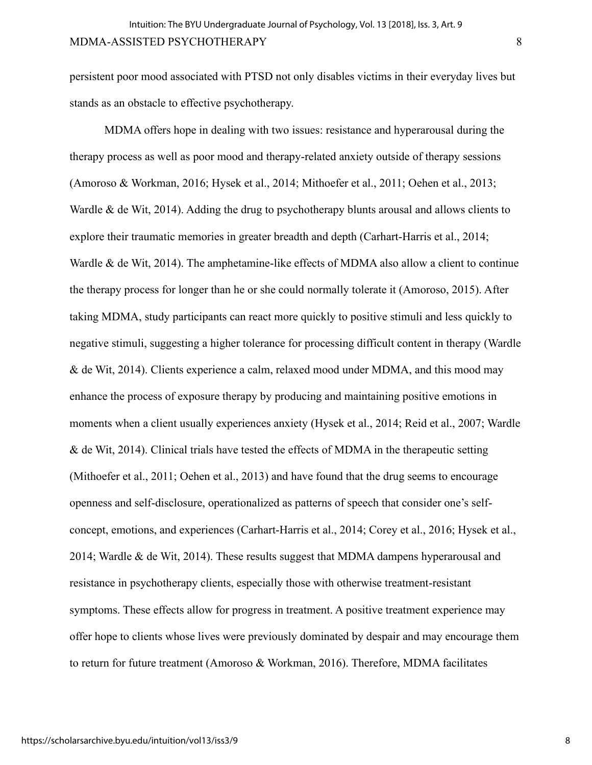persistent poor mood associated with PTSD not only disables victims in their everyday lives but stands as an obstacle to effective psychotherapy.

MDMA offers hope in dealing with two issues: resistance and hyperarousal during the therapy process as well as poor mood and therapy-related anxiety outside of therapy sessions (Amoroso & Workman, 2016; Hysek et al., 2014; Mithoefer et al., 2011; Oehen et al., 2013; Wardle & de Wit, 2014). Adding the drug to psychotherapy blunts arousal and allows clients to explore their traumatic memories in greater breadth and depth (Carhart-Harris et al., 2014; Wardle & de Wit, 2014). The amphetamine-like effects of MDMA also allow a client to continue the therapy process for longer than he or she could normally tolerate it (Amoroso, 2015). After taking MDMA, study participants can react more quickly to positive stimuli and less quickly to negative stimuli, suggesting a higher tolerance for processing difficult content in therapy (Wardle & de Wit, 2014). Clients experience a calm, relaxed mood under MDMA, and this mood may enhance the process of exposure therapy by producing and maintaining positive emotions in moments when a client usually experiences anxiety (Hysek et al., 2014; Reid et al., 2007; Wardle & de Wit, 2014). Clinical trials have tested the effects of MDMA in the therapeutic setting (Mithoefer et al., 2011; Oehen et al., 2013) and have found that the drug seems to encourage openness and self-disclosure, operationalized as patterns of speech that consider one's selfconcept, emotions, and experiences (Carhart-Harris et al., 2014; Corey et al., 2016; Hysek et al., 2014; Wardle & de Wit, 2014). These results suggest that MDMA dampens hyperarousal and resistance in psychotherapy clients, especially those with otherwise treatment-resistant symptoms. These effects allow for progress in treatment. A positive treatment experience may offer hope to clients whose lives were previously dominated by despair and may encourage them to return for future treatment (Amoroso & Workman, 2016). Therefore, MDMA facilitates

8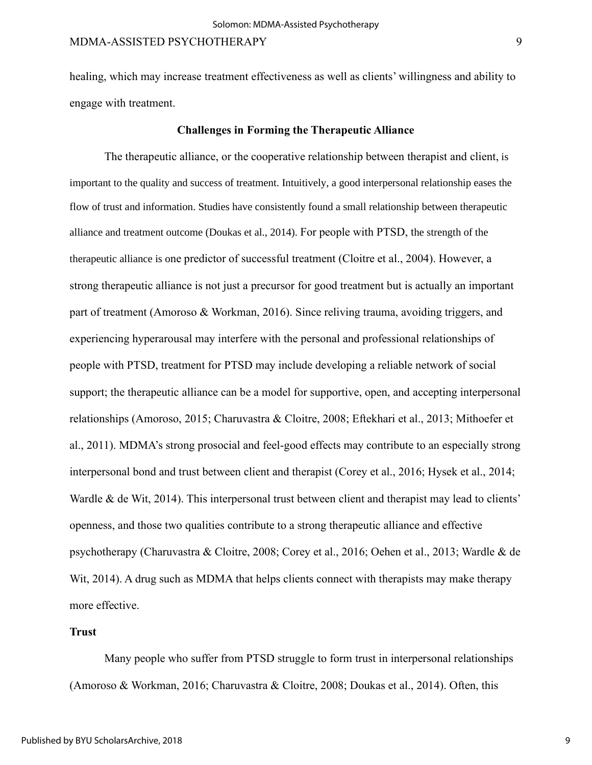healing, which may increase treatment effectiveness as well as clients' willingness and ability to engage with treatment.

#### **Challenges in Forming the Therapeutic Alliance**

The therapeutic alliance, or the cooperative relationship between therapist and client, is important to the quality and success of treatment. Intuitively, a good interpersonal relationship eases the flow of trust and information. Studies have consistently found a small relationship between therapeutic alliance and treatment outcome (Doukas et al., 2014). For people with PTSD, the strength of the therapeutic alliance is one predictor of successful treatment (Cloitre et al., 2004). However, a strong therapeutic alliance is not just a precursor for good treatment but is actually an important part of treatment (Amoroso & Workman, 2016). Since reliving trauma, avoiding triggers, and experiencing hyperarousal may interfere with the personal and professional relationships of people with PTSD, treatment for PTSD may include developing a reliable network of social support; the therapeutic alliance can be a model for supportive, open, and accepting interpersonal relationships (Amoroso, 2015; Charuvastra & Cloitre, 2008; Eftekhari et al., 2013; Mithoefer et al., 2011). MDMA's strong prosocial and feel-good effects may contribute to an especially strong interpersonal bond and trust between client and therapist (Corey et al., 2016; Hysek et al., 2014; Wardle & de Wit, 2014). This interpersonal trust between client and therapist may lead to clients' openness, and those two qualities contribute to a strong therapeutic alliance and effective psychotherapy (Charuvastra & Cloitre, 2008; Corey et al., 2016; Oehen et al., 2013; Wardle & de Wit, 2014). A drug such as MDMA that helps clients connect with therapists may make therapy more effective.

## **Trust**

Many people who suffer from PTSD struggle to form trust in interpersonal relationships (Amoroso & Workman, 2016; Charuvastra & Cloitre, 2008; Doukas et al., 2014). Often, this

9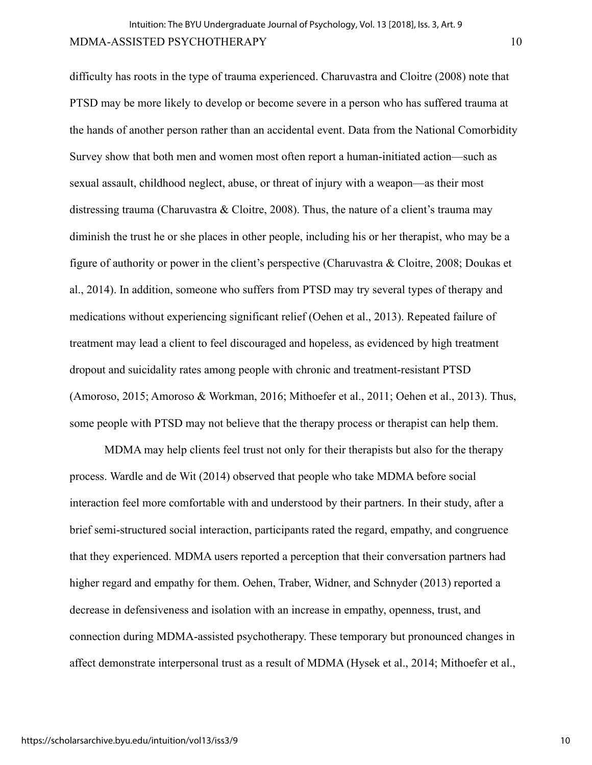difficulty has roots in the type of trauma experienced. Charuvastra and Cloitre (2008) note that PTSD may be more likely to develop or become severe in a person who has suffered trauma at the hands of another person rather than an accidental event. Data from the National Comorbidity Survey show that both men and women most often report a human-initiated action—such as sexual assault, childhood neglect, abuse, or threat of injury with a weapon—as their most distressing trauma (Charuvastra & Cloitre, 2008). Thus, the nature of a client's trauma may diminish the trust he or she places in other people, including his or her therapist, who may be a figure of authority or power in the client's perspective (Charuvastra & Cloitre, 2008; Doukas et al., 2014). In addition, someone who suffers from PTSD may try several types of therapy and medications without experiencing significant relief (Oehen et al., 2013). Repeated failure of treatment may lead a client to feel discouraged and hopeless, as evidenced by high treatment dropout and suicidality rates among people with chronic and treatment-resistant PTSD (Amoroso, 2015; Amoroso & Workman, 2016; Mithoefer et al., 2011; Oehen et al., 2013). Thus, some people with PTSD may not believe that the therapy process or therapist can help them.

MDMA may help clients feel trust not only for their therapists but also for the therapy process. Wardle and de Wit (2014) observed that people who take MDMA before social interaction feel more comfortable with and understood by their partners. In their study, after a brief semi-structured social interaction, participants rated the regard, empathy, and congruence that they experienced. MDMA users reported a perception that their conversation partners had higher regard and empathy for them. Oehen, Traber, Widner, and Schnyder (2013) reported a decrease in defensiveness and isolation with an increase in empathy, openness, trust, and connection during MDMA-assisted psychotherapy. These temporary but pronounced changes in affect demonstrate interpersonal trust as a result of MDMA (Hysek et al., 2014; Mithoefer et al.,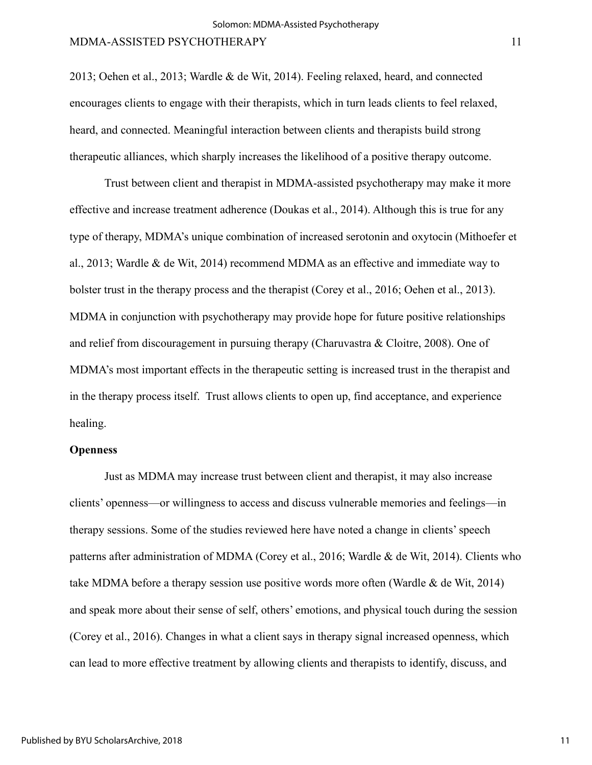2013; Oehen et al., 2013; Wardle & de Wit, 2014). Feeling relaxed, heard, and connected encourages clients to engage with their therapists, which in turn leads clients to feel relaxed, heard, and connected. Meaningful interaction between clients and therapists build strong therapeutic alliances, which sharply increases the likelihood of a positive therapy outcome.

Trust between client and therapist in MDMA-assisted psychotherapy may make it more effective and increase treatment adherence (Doukas et al., 2014). Although this is true for any type of therapy, MDMA's unique combination of increased serotonin and oxytocin (Mithoefer et al., 2013; Wardle & de Wit, 2014) recommend MDMA as an effective and immediate way to bolster trust in the therapy process and the therapist (Corey et al., 2016; Oehen et al., 2013). MDMA in conjunction with psychotherapy may provide hope for future positive relationships and relief from discouragement in pursuing therapy (Charuvastra & Cloitre, 2008). One of MDMA's most important effects in the therapeutic setting is increased trust in the therapist and in the therapy process itself. Trust allows clients to open up, find acceptance, and experience healing.

#### **Openness**

Just as MDMA may increase trust between client and therapist, it may also increase clients' openness—or willingness to access and discuss vulnerable memories and feelings—in therapy sessions. Some of the studies reviewed here have noted a change in clients' speech patterns after administration of MDMA (Corey et al., 2016; Wardle & de Wit, 2014). Clients who take MDMA before a therapy session use positive words more often (Wardle & de Wit, 2014) and speak more about their sense of self, others' emotions, and physical touch during the session (Corey et al., 2016). Changes in what a client says in therapy signal increased openness, which can lead to more effective treatment by allowing clients and therapists to identify, discuss, and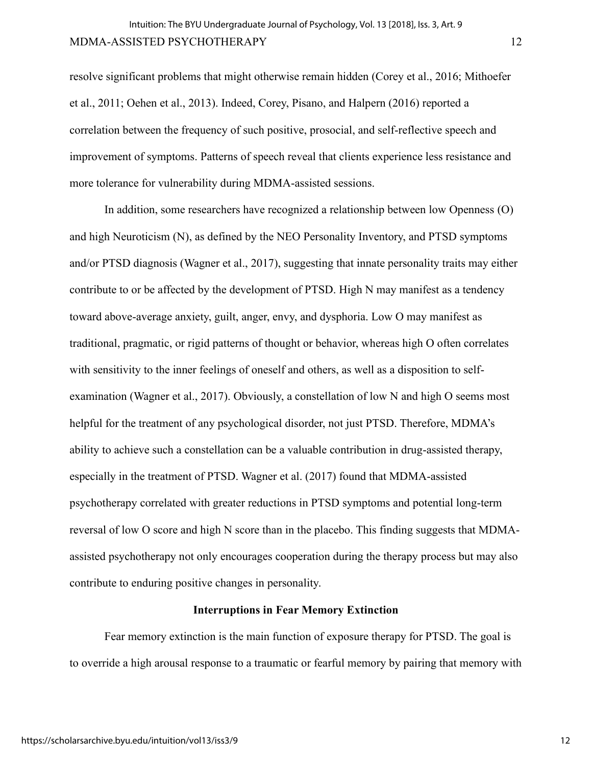resolve significant problems that might otherwise remain hidden (Corey et al., 2016; Mithoefer et al., 2011; Oehen et al., 2013). Indeed, Corey, Pisano, and Halpern (2016) reported a correlation between the frequency of such positive, prosocial, and self-reflective speech and improvement of symptoms. Patterns of speech reveal that clients experience less resistance and more tolerance for vulnerability during MDMA-assisted sessions.

In addition, some researchers have recognized a relationship between low Openness (O) and high Neuroticism (N), as defined by the NEO Personality Inventory, and PTSD symptoms and/or PTSD diagnosis (Wagner et al., 2017), suggesting that innate personality traits may either contribute to or be affected by the development of PTSD. High N may manifest as a tendency toward above-average anxiety, guilt, anger, envy, and dysphoria. Low O may manifest as traditional, pragmatic, or rigid patterns of thought or behavior, whereas high O often correlates with sensitivity to the inner feelings of oneself and others, as well as a disposition to selfexamination (Wagner et al., 2017). Obviously, a constellation of low N and high O seems most helpful for the treatment of any psychological disorder, not just PTSD. Therefore, MDMA's ability to achieve such a constellation can be a valuable contribution in drug-assisted therapy, especially in the treatment of PTSD. Wagner et al. (2017) found that MDMA-assisted psychotherapy correlated with greater reductions in PTSD symptoms and potential long-term reversal of low O score and high N score than in the placebo. This finding suggests that MDMAassisted psychotherapy not only encourages cooperation during the therapy process but may also contribute to enduring positive changes in personality.

#### **Interruptions in Fear Memory Extinction**

Fear memory extinction is the main function of exposure therapy for PTSD. The goal is to override a high arousal response to a traumatic or fearful memory by pairing that memory with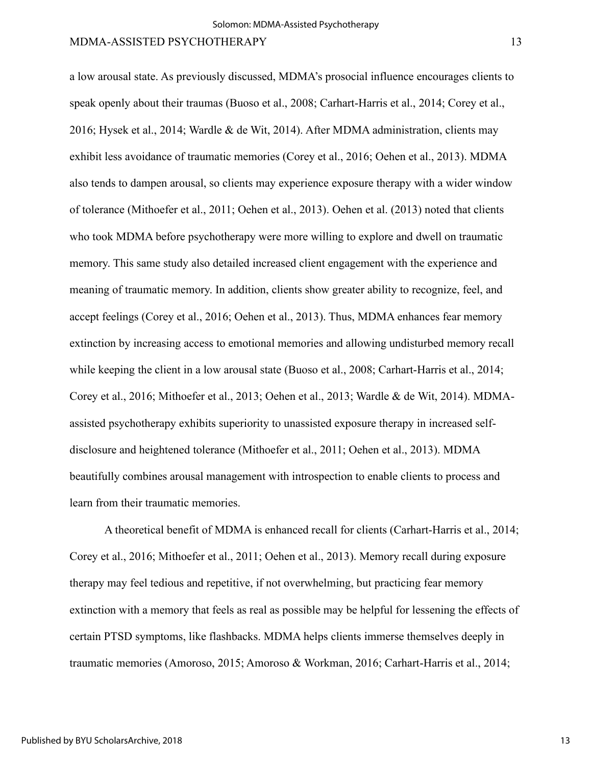a low arousal state. As previously discussed, MDMA's prosocial influence encourages clients to speak openly about their traumas (Buoso et al., 2008; Carhart-Harris et al., 2014; Corey et al., 2016; Hysek et al., 2014; Wardle & de Wit, 2014). After MDMA administration, clients may exhibit less avoidance of traumatic memories (Corey et al., 2016; Oehen et al., 2013). MDMA also tends to dampen arousal, so clients may experience exposure therapy with a wider window of tolerance (Mithoefer et al., 2011; Oehen et al., 2013). Oehen et al. (2013) noted that clients who took MDMA before psychotherapy were more willing to explore and dwell on traumatic memory. This same study also detailed increased client engagement with the experience and meaning of traumatic memory. In addition, clients show greater ability to recognize, feel, and accept feelings (Corey et al., 2016; Oehen et al., 2013). Thus, MDMA enhances fear memory extinction by increasing access to emotional memories and allowing undisturbed memory recall while keeping the client in a low arousal state (Buoso et al., 2008; Carhart-Harris et al., 2014; Corey et al., 2016; Mithoefer et al., 2013; Oehen et al., 2013; Wardle & de Wit, 2014). MDMAassisted psychotherapy exhibits superiority to unassisted exposure therapy in increased selfdisclosure and heightened tolerance (Mithoefer et al., 2011; Oehen et al., 2013). MDMA beautifully combines arousal management with introspection to enable clients to process and learn from their traumatic memories.

A theoretical benefit of MDMA is enhanced recall for clients (Carhart-Harris et al., 2014; Corey et al., 2016; Mithoefer et al., 2011; Oehen et al., 2013). Memory recall during exposure therapy may feel tedious and repetitive, if not overwhelming, but practicing fear memory extinction with a memory that feels as real as possible may be helpful for lessening the effects of certain PTSD symptoms, like flashbacks. MDMA helps clients immerse themselves deeply in traumatic memories (Amoroso, 2015; Amoroso & Workman, 2016; Carhart-Harris et al., 2014;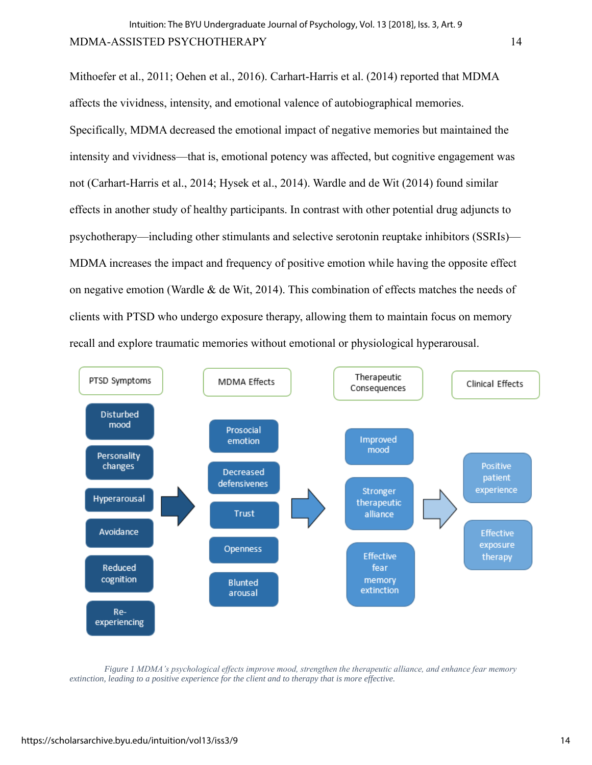Mithoefer et al., 2011; Oehen et al., 2016). Carhart-Harris et al. (2014) reported that MDMA affects the vividness, intensity, and emotional valence of autobiographical memories. Specifically, MDMA decreased the emotional impact of negative memories but maintained the intensity and vividness—that is, emotional potency was affected, but cognitive engagement was not (Carhart-Harris et al., 2014; Hysek et al., 2014). Wardle and de Wit (2014) found similar effects in another study of healthy participants. In contrast with other potential drug adjuncts to psychotherapy—including other stimulants and selective serotonin reuptake inhibitors (SSRIs)— MDMA increases the impact and frequency of positive emotion while having the opposite effect on negative emotion (Wardle & de Wit, 2014). This combination of effects matches the needs of clients with PTSD who undergo exposure therapy, allowing them to maintain focus on memory recall and explore traumatic memories without emotional or physiological hyperarousal.



*Figure 1 MDMA's psychological effects improve mood, strengthen the therapeutic alliance, and enhance fear memory extinction, leading to a positive experience for the client and to therapy that is more effective.*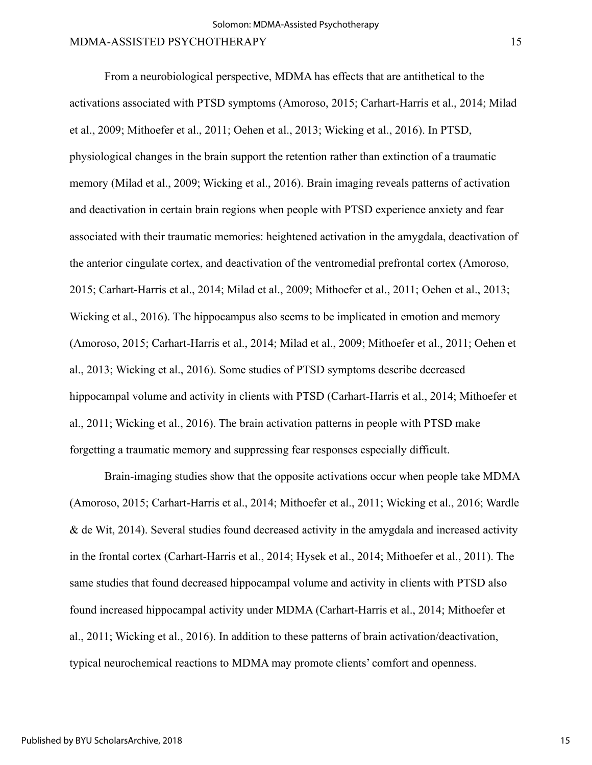From a neurobiological perspective, MDMA has effects that are antithetical to the activations associated with PTSD symptoms (Amoroso, 2015; Carhart-Harris et al., 2014; Milad et al., 2009; Mithoefer et al., 2011; Oehen et al., 2013; Wicking et al., 2016). In PTSD, physiological changes in the brain support the retention rather than extinction of a traumatic memory (Milad et al., 2009; Wicking et al., 2016). Brain imaging reveals patterns of activation and deactivation in certain brain regions when people with PTSD experience anxiety and fear associated with their traumatic memories: heightened activation in the amygdala, deactivation of the anterior cingulate cortex, and deactivation of the ventromedial prefrontal cortex (Amoroso, 2015; Carhart-Harris et al., 2014; Milad et al., 2009; Mithoefer et al., 2011; Oehen et al., 2013; Wicking et al., 2016). The hippocampus also seems to be implicated in emotion and memory (Amoroso, 2015; Carhart-Harris et al., 2014; Milad et al., 2009; Mithoefer et al., 2011; Oehen et al., 2013; Wicking et al., 2016). Some studies of PTSD symptoms describe decreased hippocampal volume and activity in clients with PTSD (Carhart-Harris et al., 2014; Mithoefer et al., 2011; Wicking et al., 2016). The brain activation patterns in people with PTSD make forgetting a traumatic memory and suppressing fear responses especially difficult.

Brain-imaging studies show that the opposite activations occur when people take MDMA (Amoroso, 2015; Carhart-Harris et al., 2014; Mithoefer et al., 2011; Wicking et al., 2016; Wardle & de Wit, 2014). Several studies found decreased activity in the amygdala and increased activity in the frontal cortex (Carhart-Harris et al., 2014; Hysek et al., 2014; Mithoefer et al., 2011). The same studies that found decreased hippocampal volume and activity in clients with PTSD also found increased hippocampal activity under MDMA (Carhart-Harris et al., 2014; Mithoefer et al., 2011; Wicking et al., 2016). In addition to these patterns of brain activation/deactivation, typical neurochemical reactions to MDMA may promote clients' comfort and openness.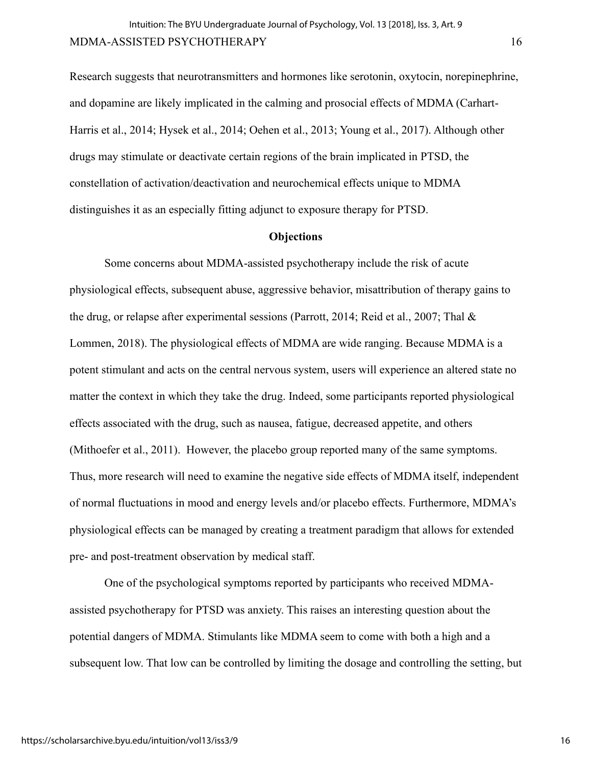Research suggests that neurotransmitters and hormones like serotonin, oxytocin, norepinephrine, and dopamine are likely implicated in the calming and prosocial effects of MDMA (Carhart-Harris et al., 2014; Hysek et al., 2014; Oehen et al., 2013; Young et al., 2017). Although other drugs may stimulate or deactivate certain regions of the brain implicated in PTSD, the constellation of activation/deactivation and neurochemical effects unique to MDMA distinguishes it as an especially fitting adjunct to exposure therapy for PTSD.

#### **Objections**

Some concerns about MDMA-assisted psychotherapy include the risk of acute physiological effects, subsequent abuse, aggressive behavior, misattribution of therapy gains to the drug, or relapse after experimental sessions (Parrott, 2014; Reid et al., 2007; Thal & Lommen, 2018). The physiological effects of MDMA are wide ranging. Because MDMA is a potent stimulant and acts on the central nervous system, users will experience an altered state no matter the context in which they take the drug. Indeed, some participants reported physiological effects associated with the drug, such as nausea, fatigue, decreased appetite, and others (Mithoefer et al., 2011). However, the placebo group reported many of the same symptoms. Thus, more research will need to examine the negative side effects of MDMA itself, independent of normal fluctuations in mood and energy levels and/or placebo effects. Furthermore, MDMA's physiological effects can be managed by creating a treatment paradigm that allows for extended pre- and post-treatment observation by medical staff.

One of the psychological symptoms reported by participants who received MDMAassisted psychotherapy for PTSD was anxiety. This raises an interesting question about the potential dangers of MDMA. Stimulants like MDMA seem to come with both a high and a subsequent low. That low can be controlled by limiting the dosage and controlling the setting, but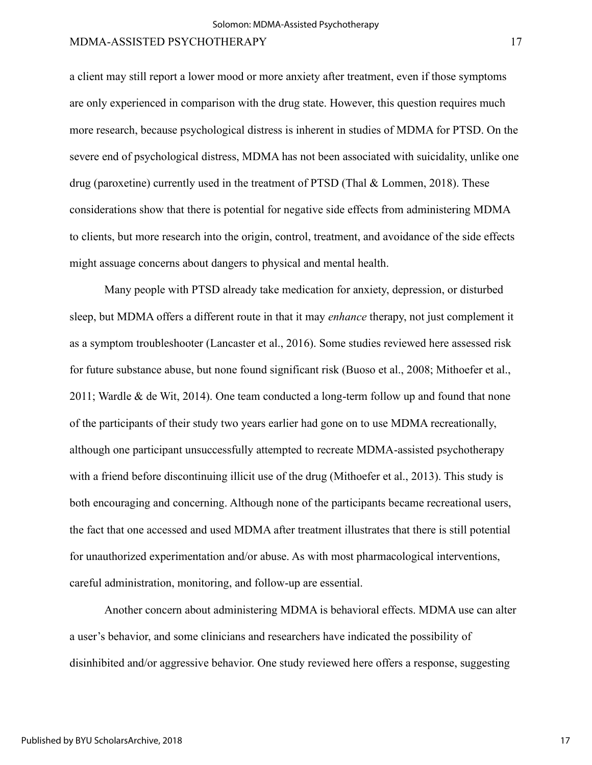a client may still report a lower mood or more anxiety after treatment, even if those symptoms are only experienced in comparison with the drug state. However, this question requires much more research, because psychological distress is inherent in studies of MDMA for PTSD. On the severe end of psychological distress, MDMA has not been associated with suicidality, unlike one drug (paroxetine) currently used in the treatment of PTSD (Thal & Lommen, 2018). These considerations show that there is potential for negative side effects from administering MDMA to clients, but more research into the origin, control, treatment, and avoidance of the side effects might assuage concerns about dangers to physical and mental health.

Many people with PTSD already take medication for anxiety, depression, or disturbed sleep, but MDMA offers a different route in that it may *enhance* therapy, not just complement it as a symptom troubleshooter (Lancaster et al., 2016). Some studies reviewed here assessed risk for future substance abuse, but none found significant risk (Buoso et al., 2008; Mithoefer et al., 2011; Wardle & de Wit, 2014). One team conducted a long-term follow up and found that none of the participants of their study two years earlier had gone on to use MDMA recreationally, although one participant unsuccessfully attempted to recreate MDMA-assisted psychotherapy with a friend before discontinuing illicit use of the drug (Mithoefer et al., 2013). This study is both encouraging and concerning. Although none of the participants became recreational users, the fact that one accessed and used MDMA after treatment illustrates that there is still potential for unauthorized experimentation and/or abuse. As with most pharmacological interventions, careful administration, monitoring, and follow-up are essential.

Another concern about administering MDMA is behavioral effects. MDMA use can alter a user's behavior, and some clinicians and researchers have indicated the possibility of disinhibited and/or aggressive behavior. One study reviewed here offers a response, suggesting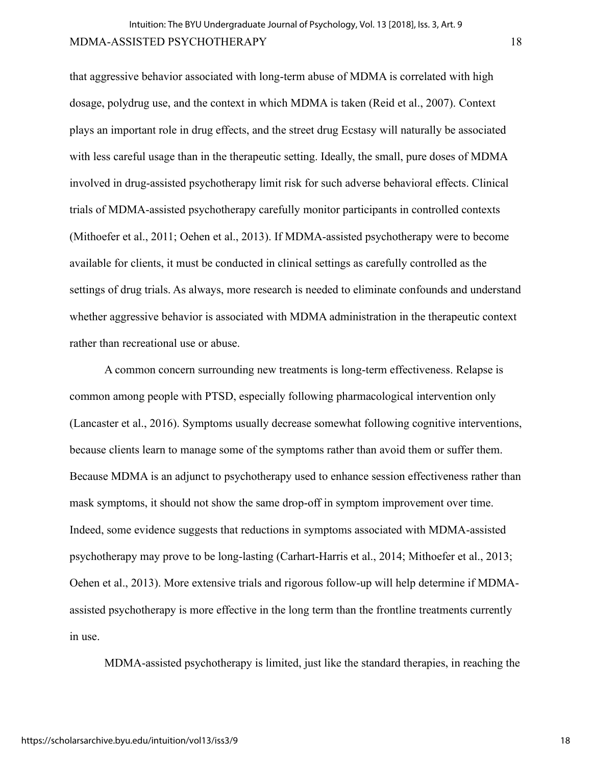that aggressive behavior associated with long-term abuse of MDMA is correlated with high dosage, polydrug use, and the context in which MDMA is taken (Reid et al., 2007). Context plays an important role in drug effects, and the street drug Ecstasy will naturally be associated with less careful usage than in the therapeutic setting. Ideally, the small, pure doses of MDMA involved in drug-assisted psychotherapy limit risk for such adverse behavioral effects. Clinical trials of MDMA-assisted psychotherapy carefully monitor participants in controlled contexts (Mithoefer et al., 2011; Oehen et al., 2013). If MDMA-assisted psychotherapy were to become available for clients, it must be conducted in clinical settings as carefully controlled as the settings of drug trials. As always, more research is needed to eliminate confounds and understand whether aggressive behavior is associated with MDMA administration in the therapeutic context rather than recreational use or abuse.

A common concern surrounding new treatments is long-term effectiveness. Relapse is common among people with PTSD, especially following pharmacological intervention only (Lancaster et al., 2016). Symptoms usually decrease somewhat following cognitive interventions, because clients learn to manage some of the symptoms rather than avoid them or suffer them. Because MDMA is an adjunct to psychotherapy used to enhance session effectiveness rather than mask symptoms, it should not show the same drop-off in symptom improvement over time. Indeed, some evidence suggests that reductions in symptoms associated with MDMA-assisted psychotherapy may prove to be long-lasting (Carhart-Harris et al., 2014; Mithoefer et al., 2013; Oehen et al., 2013). More extensive trials and rigorous follow-up will help determine if MDMAassisted psychotherapy is more effective in the long term than the frontline treatments currently in use.

MDMA-assisted psychotherapy is limited, just like the standard therapies, in reaching the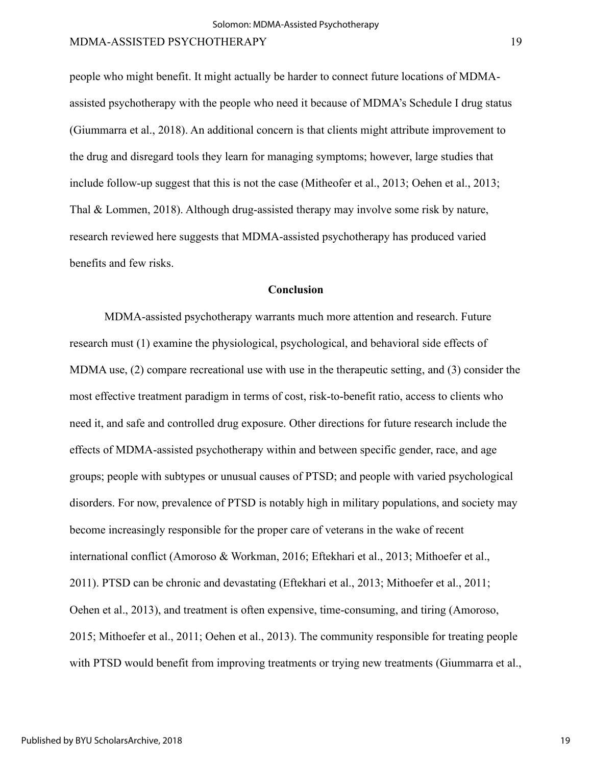people who might benefit. It might actually be harder to connect future locations of MDMAassisted psychotherapy with the people who need it because of MDMA's Schedule I drug status (Giummarra et al., 2018). An additional concern is that clients might attribute improvement to the drug and disregard tools they learn for managing symptoms; however, large studies that include follow-up suggest that this is not the case (Mitheofer et al., 2013; Oehen et al., 2013; Thal & Lommen, 2018). Although drug-assisted therapy may involve some risk by nature, research reviewed here suggests that MDMA-assisted psychotherapy has produced varied benefits and few risks.

### **Conclusion**

MDMA-assisted psychotherapy warrants much more attention and research. Future research must (1) examine the physiological, psychological, and behavioral side effects of MDMA use, (2) compare recreational use with use in the therapeutic setting, and (3) consider the most effective treatment paradigm in terms of cost, risk-to-benefit ratio, access to clients who need it, and safe and controlled drug exposure. Other directions for future research include the effects of MDMA-assisted psychotherapy within and between specific gender, race, and age groups; people with subtypes or unusual causes of PTSD; and people with varied psychological disorders. For now, prevalence of PTSD is notably high in military populations, and society may become increasingly responsible for the proper care of veterans in the wake of recent international conflict (Amoroso & Workman, 2016; Eftekhari et al., 2013; Mithoefer et al., 2011). PTSD can be chronic and devastating (Eftekhari et al., 2013; Mithoefer et al., 2011; Oehen et al., 2013), and treatment is often expensive, time-consuming, and tiring (Amoroso, 2015; Mithoefer et al., 2011; Oehen et al., 2013). The community responsible for treating people with PTSD would benefit from improving treatments or trying new treatments (Giummarra et al.,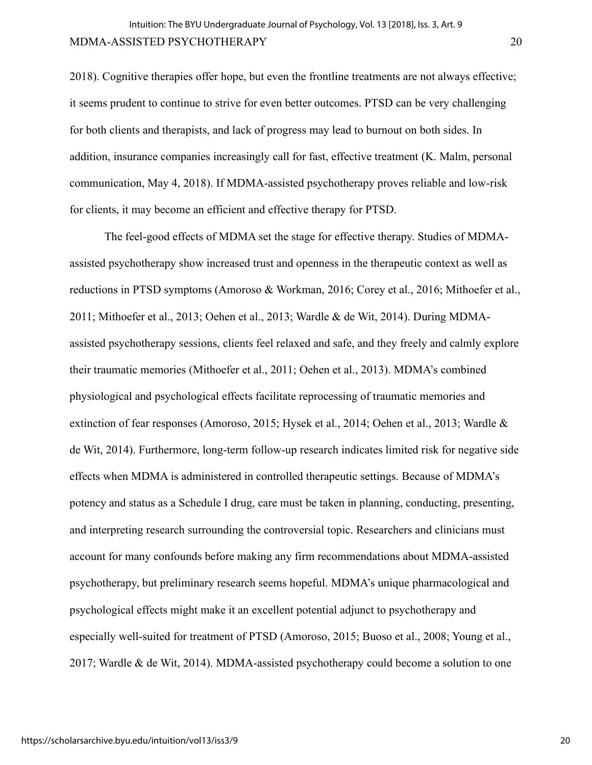2018). Cognitive therapies offer hope, but even the frontline treatments are not always effective; it seems prudent to continue to strive for even better outcomes. PTSD can be very challenging for both clients and therapists, and lack of progress may lead to burnout on both sides. In addition, insurance companies increasingly call for fast, effective treatment (K. Malm, personal communication, May 4, 2018). If MDMA-assisted psychotherapy proves reliable and low-risk for clients, it may become an efficient and effective therapy for PTSD.

The feel-good effects of MDMA set the stage for effective therapy. Studies of MDMAassisted psychotherapy show increased trust and openness in the therapeutic context as well as reductions in PTSD symptoms (Amoroso & Workman, 2016; Corey et al., 2016; Mithoefer et al., 2011; Mithoefer et al., 2013; Oehen et al., 2013; Wardle & de Wit, 2014). During MDMAassisted psychotherapy sessions, clients feel relaxed and safe, and they freely and calmly explore their traumatic memories (Mithoefer et al., 2011; Oehen et al., 2013). MDMA's combined physiological and psychological effects facilitate reprocessing of traumatic memories and extinction of fear responses (Amoroso, 2015; Hysek et al., 2014; Oehen et al., 2013; Wardle & de Wit, 2014). Furthermore, long-term follow-up research indicates limited risk for negative side effects when MDMA is administered in controlled therapeutic settings. Because of MDMA's potency and status as a Schedule I drug, care must be taken in planning, conducting, presenting, and interpreting research surrounding the controversial topic. Researchers and clinicians must account for many confounds before making any firm recommendations about MDMA-assisted psychotherapy, but preliminary research seems hopeful. MDMA's unique pharmacological and psychological effects might make it an excellent potential adjunct to psychotherapy and especially well-suited for treatment of PTSD (Amoroso, 2015; Buoso et al., 2008; Young et al., 2017; Wardle & de Wit, 2014). MDMA-assisted psychotherapy could become a solution to one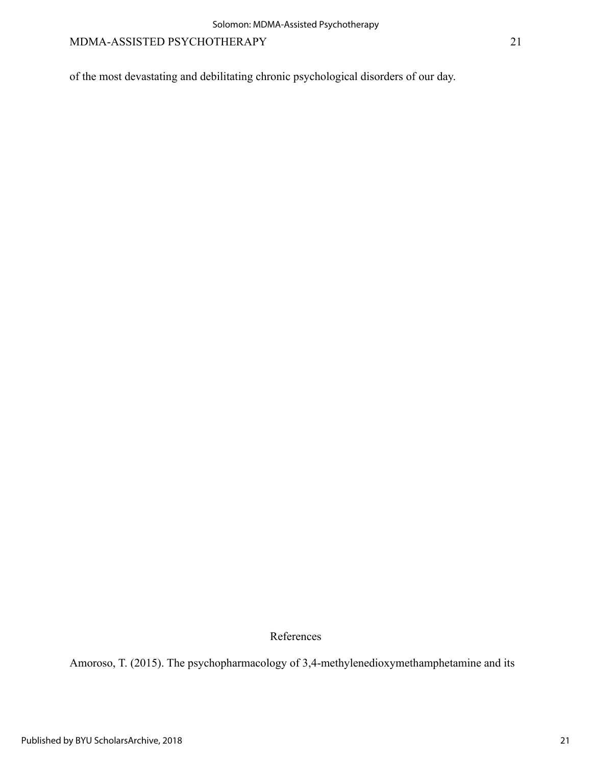of the most devastating and debilitating chronic psychological disorders of our day.

References

Amoroso, T. (2015). The psychopharmacology of 3,4-methylenedioxymethamphetamine and its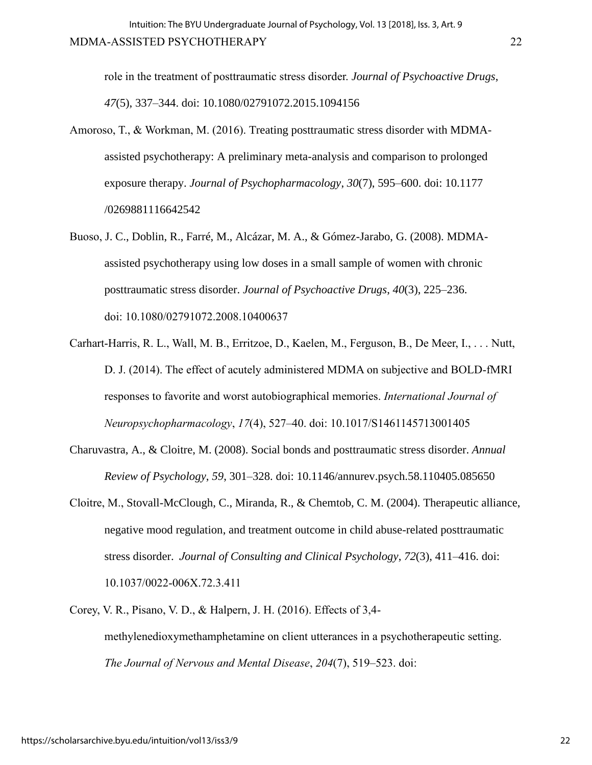role in the treatment of posttraumatic stress disorder. *Journal of Psychoactive Drugs*, *47*(5), 337–344. doi: 10.1080/02791072.2015.1094156

- Amoroso, T., & Workman, M. (2016). Treating posttraumatic stress disorder with MDMAassisted psychotherapy: A preliminary meta-analysis and comparison to prolonged exposure therapy. *Journal of Psychopharmacology*, *30*(7), 595–600. doi: 10.1177 /0269881116642542
- Buoso, J. C., Doblin, R., Farré, M., Alcázar, M. A., & Gómez-Jarabo, G. (2008). MDMAassisted psychotherapy using low doses in a small sample of women with chronic posttraumatic stress disorder. *Journal of Psychoactive Drugs*, *40*(3), 225–236. doi: [10.1080/02791072.2008.10400637](https://doi.org/10.1080/02791072.2008.10400637)
- Carhart-Harris, R. L., Wall, M. B., Erritzoe, D., Kaelen, M., Ferguson, B., De Meer, I., . . . Nutt, D. J. (2014). The effect of acutely administered MDMA on subjective and BOLD-fMRI responses to favorite and worst autobiographical memories. *International Journal of Neuropsychopharmacology*, *17*(4), 527–40. doi: 10.1017/S1461145713001405
- Charuvastra, A., & Cloitre, M. (2008). Social bonds and posttraumatic stress disorder. *Annual Review of Psychology*, *59*, 301–328. doi: 10.1146/annurev.psych.58.110405.085650
- Cloitre, M., Stovall-McClough, C., Miranda, R., & Chemtob, C. M. (2004). Therapeutic alliance, negative mood regulation, and treatment outcome in child abuse-related posttraumatic stress disorder. *Journal of Consulting and Clinical Psychology*, *72*(3), 411–416. doi: 10.1037/0022-006X.72.3.411
- Corey, V. R., Pisano, V. D., & Halpern, J. H. (2016). Effects of 3,4 methylenedioxymethamphetamine on client utterances in a psychotherapeutic setting. *The Journal of Nervous and Mental Disease*, *204*(7), 519–523. doi: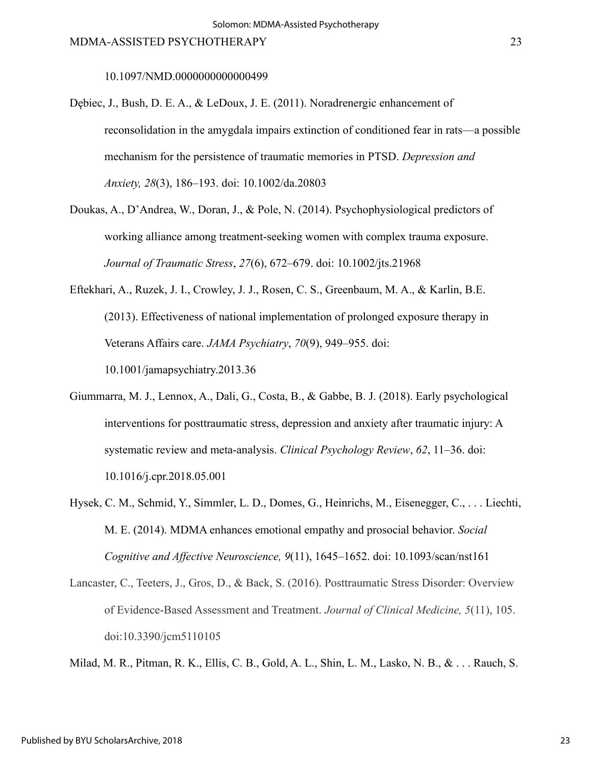10.1097/NMD.0000000000000499

- Dębiec, J., Bush, D. E. A., & LeDoux, J. E. (2011). Noradrenergic enhancement of reconsolidation in the amygdala impairs extinction of conditioned fear in rats—a possible mechanism for the persistence of traumatic memories in PTSD. *Depression and Anxiety, 28*(3), 186–193. doi: 10.1002/da.20803
- Doukas, A., D'Andrea, W., Doran, J., & Pole, N. (2014). Psychophysiological predictors of working alliance among treatment-seeking women with complex trauma exposure. *Journal of Traumatic Stress*, *27*(6), 672–679. doi: 10.1002/jts.21968
- Eftekhari, A., Ruzek, J. I., Crowley, J. J., Rosen, C. S., Greenbaum, M. A., & Karlin, B.E. (2013). Effectiveness of national implementation of prolonged exposure therapy in Veterans Affairs care. *JAMA Psychiatry*, *70*(9), 949–955. doi: 10.1001/jamapsychiatry.2013.36
- Giummarra, M. J., Lennox, A., Dali, G., Costa, B., & Gabbe, B. J. (2018). Early psychological interventions for posttraumatic stress, depression and anxiety after traumatic injury: A systematic review and meta-analysis. *Clinical Psychology Review*, *62*, 11–36. doi: 10.1016/j.cpr.2018.05.001
- Hysek, C. M., Schmid, Y., Simmler, L. D., Domes, G., Heinrichs, M., Eisenegger, C., . . . Liechti, M. E. (2014). MDMA enhances emotional empathy and prosocial behavior. *Social Cognitive and Affective Neuroscience, 9*(11), 1645–1652. doi: 10.1093/scan/nst161
- Lancaster, C., Teeters, J., Gros, D., & Back, S. (2016). Posttraumatic Stress Disorder: Overview of Evidence-Based Assessment and Treatment. *Journal of Clinical Medicine, 5*(11), 105. doi:10.3390/jcm5110105

Milad, M. R., Pitman, R. K., Ellis, C. B., Gold, A. L., Shin, L. M., Lasko, N. B., & . . . Rauch, S.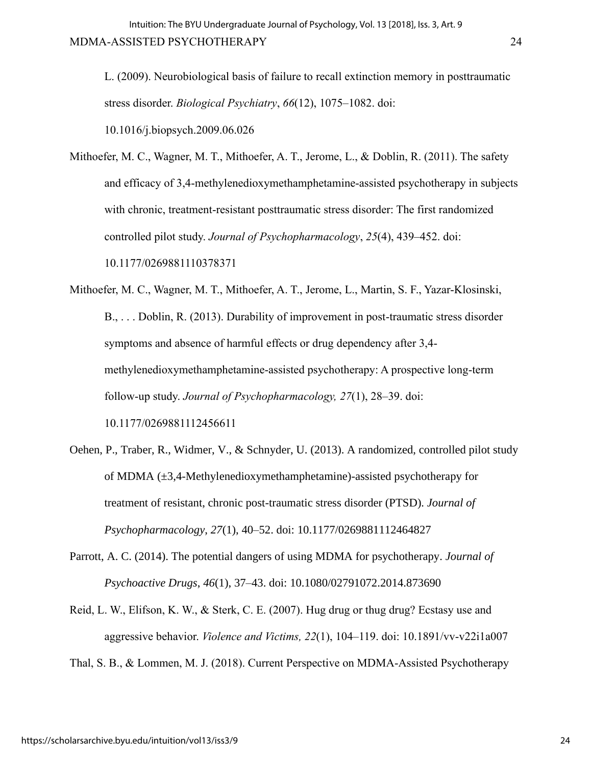L. (2009). Neurobiological basis of failure to recall extinction memory in posttraumatic stress disorder. *Biological Psychiatry*, *66*(12), 1075–1082. doi:

10.1016/j.biopsych.2009.06.026

Mithoefer, M. C., Wagner, M. T., Mithoefer, A. T., Jerome, L., & Doblin, R. (2011). The safety and efficacy of 3,4-methylenedioxymethamphetamine-assisted psychotherapy in subjects with chronic, treatment-resistant posttraumatic stress disorder: The first randomized controlled pilot study. *Journal of Psychopharmacology*, *25*(4), 439–452. doi: 10.1177/0269881110378371

- Mithoefer, M. C., Wagner, M. T., Mithoefer, A. T., Jerome, L., Martin, S. F., Yazar-Klosinski, B., . . . Doblin, R. (2013). Durability of improvement in post-traumatic stress disorder symptoms and absence of harmful effects or drug dependency after 3,4 methylenedioxymethamphetamine-assisted psychotherapy: A prospective long-term follow-up study. *Journal of Psychopharmacology, 27*(1), 28–39. doi: 10.1177/0269881112456611
- Oehen, P., Traber, R., Widmer, V., & Schnyder, U. (2013). A randomized, controlled pilot study of MDMA (±3,4-Methylenedioxymethamphetamine)-assisted psychotherapy for treatment of resistant, chronic post-traumatic stress disorder (PTSD). *Journal of Psychopharmacology*, *27*(1), 40–52. doi: 10.1177/0269881112464827
- Parrott, A. C. (2014). The potential dangers of using MDMA for psychotherapy. *Journal of Psychoactive Drugs*, *46*(1), 37–43. doi: 10.1080/02791072.2014.873690
- Reid, L. W., Elifson, K. W., & Sterk, C. E. (2007). Hug drug or thug drug? Ecstasy use and aggressive behavior. *Violence and Victims, 22*(1), 104–119. doi: 10.1891/vv-v22i1a007
- Thal, S. B., & Lommen, M. J. (2018). Current Perspective on MDMA-Assisted Psychotherapy